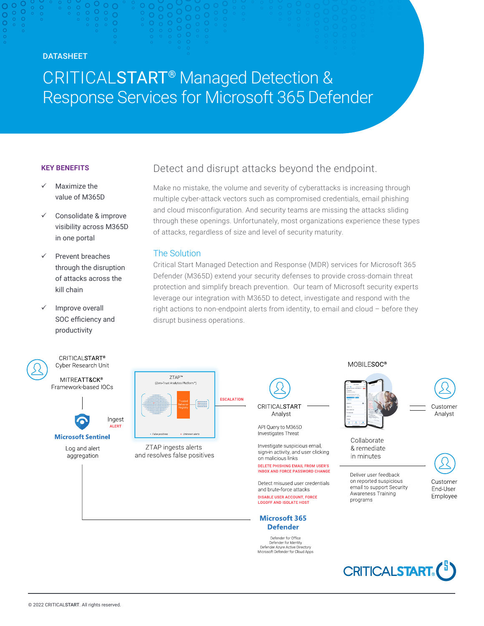# DATASHEET

# CRITICALSTART® Managed Detection & Response Services for Microsoft 365 Defender

#### **KEY BENEFITS**

- Maximize the value of M365D
- Consolidate & improve visibility across M365D in one portal
- Prevent breaches through the disruption of attacks across the kill chain
- Improve overall SOC efficiency and productivity



Cyber Research Unit MITREATT&CK® Framework-based IOCs

**CRITICALSTART®** 



Ingest ALERT **Microsoft Sentinel** 

> Log and alert aggregation



Make no mistake, the volume and severity of cyberattacks is increasing through multiple cyber-attack vectors such as compromised credentials, email phishing and cloud misconfiguration. And security teams are missing the attacks sliding through these openings. Unfortunately, most organizations experience these types of attacks, regardless of size and level of security maturity.

# The Solution

Critical Start Managed Detection and Response (MDR) services for Microsoft 365 Defender (M365D) extend your security defenses to provide cross-domain threat protection and simplify breach prevention. Our team of Microsoft security experts leverage our integration with M365D to detect, investigate and respond with the right actions to non-endpoint alerts from identity, to email and cloud – before they disrupt business operations.



ZTAP ingests alerts and resolves false positives CRITICALSTART Analyst

API Query to M365D Investigates Threat

Investigate suspicious email, sign-in activity, and user clicking on malicious links DELETE PHISHING EMAIL FROM USER'S

**INBOX AND FORCE PASSWORD CHANGE** Detect misused user credentials

and brute-force attacks **DISABLE USER ACCOUNT, FORCE LOGOFF AND ISOLATE HOST** 

#### **Microsoft 365 Defender**

Defender for Office<br>Defender for Identity<br>Defender Azure Active Directory<br>Microsoft Defender for Cloud Apps







Collaborate & remediate in minutes

Deliver user feedback on reported suspicious email to support Security Awareness Training programs



**CRITICALSTART**